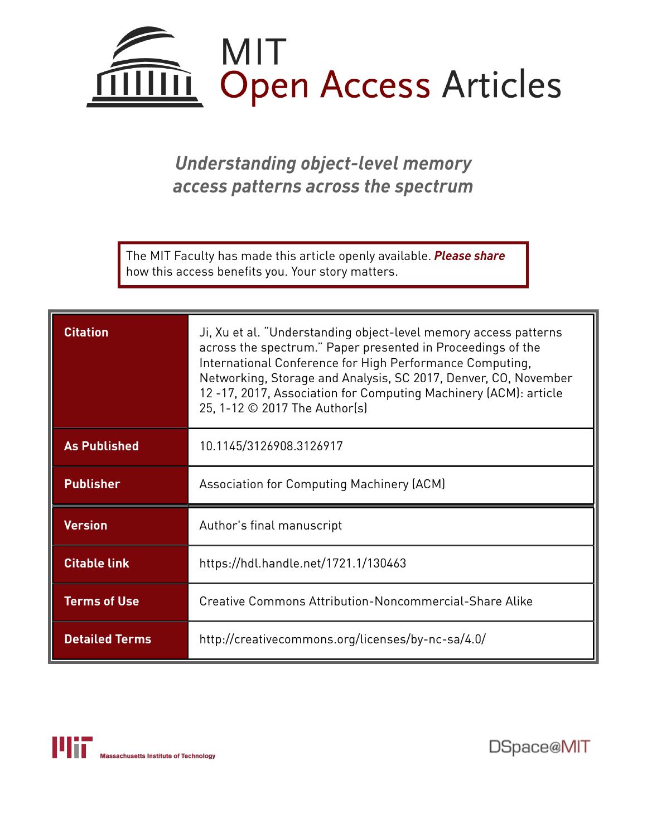

*Understanding object-level memory access patterns across the spectrum*

The MIT Faculty has made this article openly available. *[Please](https://libraries.mit.edu/forms/dspace-oa-articles.html) share* how this access benefits you. Your story matters.

| <b>Citation</b>       | Ji, Xu et al. "Understanding object-level memory access patterns<br>across the spectrum." Paper presented in Proceedings of the<br>International Conference for High Performance Computing,<br>Networking, Storage and Analysis, SC 2017, Denver, CO, November<br>12-17, 2017, Association for Computing Machinery (ACM): article<br>25, 1-12 © 2017 The Author(s) |  |  |  |  |
|-----------------------|--------------------------------------------------------------------------------------------------------------------------------------------------------------------------------------------------------------------------------------------------------------------------------------------------------------------------------------------------------------------|--|--|--|--|
| <b>As Published</b>   | 10.1145/3126908.3126917                                                                                                                                                                                                                                                                                                                                            |  |  |  |  |
| <b>Publisher</b>      | Association for Computing Machinery (ACM)                                                                                                                                                                                                                                                                                                                          |  |  |  |  |
| <b>Version</b>        | Author's final manuscript                                                                                                                                                                                                                                                                                                                                          |  |  |  |  |
| <b>Citable link</b>   | https://hdl.handle.net/1721.1/130463                                                                                                                                                                                                                                                                                                                               |  |  |  |  |
| <b>Terms of Use</b>   | Creative Commons Attribution-Noncommercial-Share Alike                                                                                                                                                                                                                                                                                                             |  |  |  |  |
| <b>Detailed Terms</b> | http://creativecommons.org/licenses/by-nc-sa/4.0/                                                                                                                                                                                                                                                                                                                  |  |  |  |  |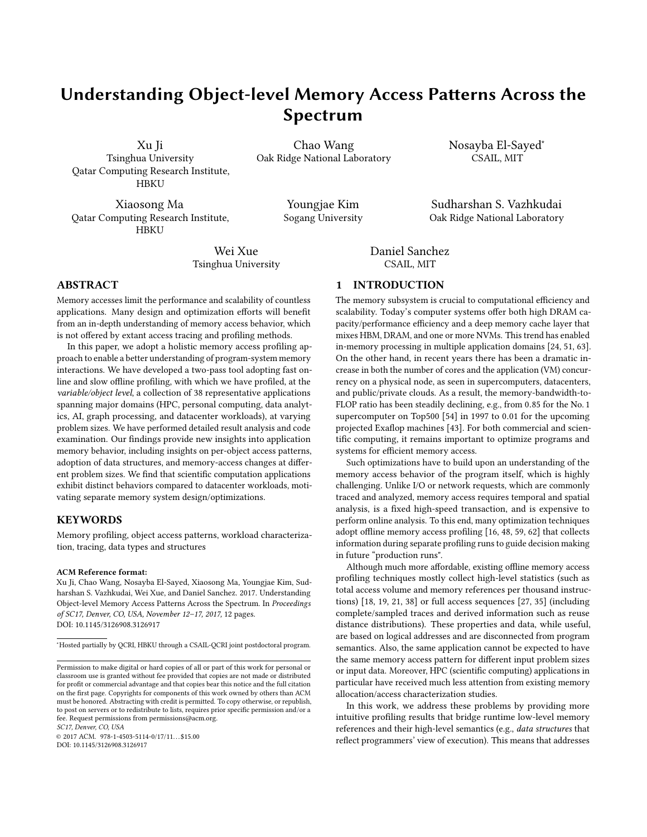# Understanding Object-level Memory Access Patterns Across the Spectrum

Xu Ji Tsinghua University Qatar Computing Research Institute, **HBKU** 

Xiaosong Ma Qatar Computing Research Institute, **HRKU** 

Oak Ridge National Laboratory

Chao Wang

Youngjae Kim Sogang University CSAIL, MIT

Nosayba El-Sayed<sup>∗</sup>

Sudharshan S. Vazhkudai Oak Ridge National Laboratory

Wei Xue Tsinghua University

# ABSTRACT

Memory accesses limit the performance and scalability of countless applications. Many design and optimization efforts will benefit from an in-depth understanding of memory access behavior, which is not offered by extant access tracing and profiling methods.

In this paper, we adopt a holistic memory access profiling approach to enable a better understanding of program-system memory interactions. We have developed a two-pass tool adopting fast online and slow offline profiling, with which we have profiled, at the variable/object level, a collection of 38 representative applications spanning major domains (HPC, personal computing, data analytics, AI, graph processing, and datacenter workloads), at varying problem sizes. We have performed detailed result analysis and code examination. Our findings provide new insights into application memory behavior, including insights on per-object access patterns, adoption of data structures, and memory-access changes at different problem sizes. We find that scientific computation applications exhibit distinct behaviors compared to datacenter workloads, motivating separate memory system design/optimizations.

# **KEYWORDS**

Memory profiling, object access patterns, workload characterization, tracing, data types and structures

#### ACM Reference format:

Xu Ji, Chao Wang, Nosayba El-Sayed, Xiaosong Ma, Youngjae Kim, Sudharshan S. Vazhkudai, Wei Xue, and Daniel Sanchez. 2017. Understanding Object-level Memory Access Patterns Across the Spectrum. In Proceedings of SC17, Denver, CO, USA, November 12–17, 2017, [12](#page-12-0) pages. DOI: 10.1145/3126908.3126917

<sup>∗</sup>Hosted partially by QCRI, HBKU through a CSAIL-QCRI joint postdoctoral program.

SC17, Denver, CO, USA

 $@ 2017$  ACM. 978-1-4503-5114-0/17/11...\$15.00 DOI: 10.1145/3126908.3126917

Daniel Sanchez CSAIL, MIT

# 1 INTRODUCTION

The memory subsystem is crucial to computational efficiency and scalability. Today's computer systems offer both high DRAM capacity/performance efficiency and a deep memory cache layer that mixes HBM, DRAM, and one or more NVMs. This trend has enabled in-memory processing in multiple application domains [\[24,](#page-12-1) [51,](#page-12-2) [63\]](#page-12-3). On the other hand, in recent years there has been a dramatic increase in both the number of cores and the application (VM) concurrency on a physical node, as seen in supercomputers, datacenters, and public/private clouds. As a result, the memory-bandwidth-to-FLOP ratio has been steadily declining, e.g., from <sup>0</sup>.<sup>85</sup> for the No. 1 supercomputer on Top500 [\[54\]](#page-12-4) in 1997 to <sup>0</sup>.<sup>01</sup> for the upcoming projected Exaflop machines [\[43\]](#page-12-5). For both commercial and scientific computing, it remains important to optimize programs and systems for efficient memory access.

Such optimizations have to build upon an understanding of the memory access behavior of the program itself, which is highly challenging. Unlike I/O or network requests, which are commonly traced and analyzed, memory access requires temporal and spatial analysis, is a fixed high-speed transaction, and is expensive to perform online analysis. To this end, many optimization techniques adopt offline memory access profiling [\[16,](#page-12-6) [48,](#page-12-7) [59,](#page-12-8) [62\]](#page-12-9) that collects information during separate profiling runs to guide decision making in future "production runs".

Although much more affordable, existing offline memory access profiling techniques mostly collect high-level statistics (such as total access volume and memory references per thousand instructions) [\[18,](#page-12-10) [19,](#page-12-11) [21,](#page-12-12) [38\]](#page-12-13) or full access sequences [\[27,](#page-12-14) [35\]](#page-12-15) (including complete/sampled traces and derived information such as reuse distance distributions). These properties and data, while useful, are based on logical addresses and are disconnected from program semantics. Also, the same application cannot be expected to have the same memory access pattern for different input problem sizes or input data. Moreover, HPC (scientific computing) applications in particular have received much less attention from existing memory allocation/access characterization studies.

In this work, we address these problems by providing more intuitive profiling results that bridge runtime low-level memory references and their high-level semantics (e.g., data structures that reflect programmers' view of execution). This means that addresses

Permission to make digital or hard copies of all or part of this work for personal or classroom use is granted without fee provided that copies are not made or distributed for profit or commercial advantage and that copies bear this notice and the full citation on the first page. Copyrights for components of this work owned by others than ACM  $\,$ must be honored. Abstracting with credit is permitted. To copy otherwise, or republish, to post on servers or to redistribute to lists, requires prior specific permission and/or a fee. Request permissions from permissions@acm.org.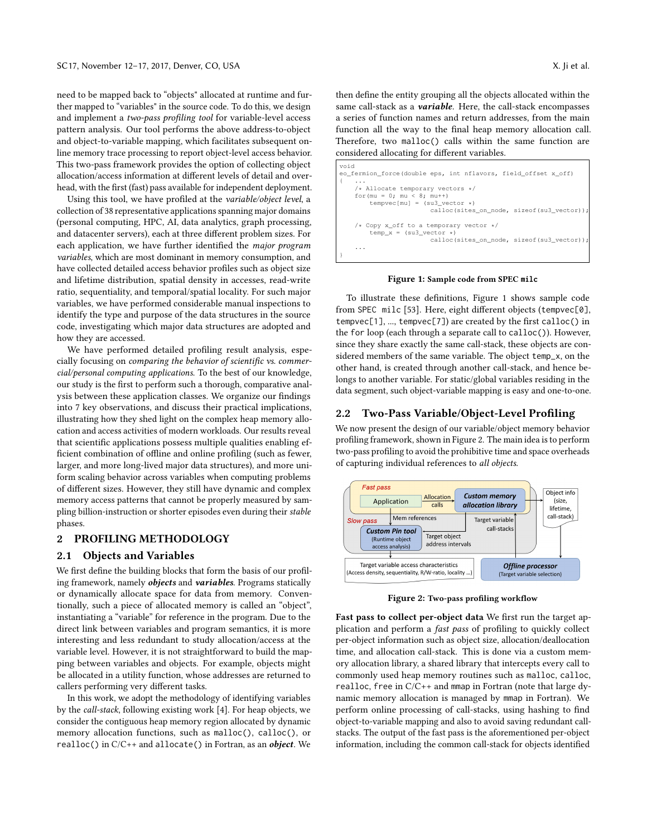need to be mapped back to "objects" allocated at runtime and further mapped to "variables" in the source code. To do this, we design and implement a two-pass profiling tool for variable-level access pattern analysis. Our tool performs the above address-to-object and object-to-variable mapping, which facilitates subsequent online memory trace processing to report object-level access behavior. This two-pass framework provides the option of collecting object allocation/access information at different levels of detail and overhead, with the first (fast) pass available for independent deployment.

Using this tool, we have profiled at the variable/object level, a collection of 38 representative applications spanning major domains (personal computing, HPC, AI, data analytics, graph processing, and datacenter servers), each at three different problem sizes. For each application, we have further identified the major program variables, which are most dominant in memory consumption, and have collected detailed access behavior profiles such as object size and lifetime distribution, spatial density in accesses, read-write ratio, sequentiality, and temporal/spatial locality. For such major variables, we have performed considerable manual inspections to identify the type and purpose of the data structures in the source code, investigating which major data structures are adopted and how they are accessed.

We have performed detailed profiling result analysis, especially focusing on comparing the behavior of scientific vs. commercial/personal computing applications. To the best of our knowledge, our study is the first to perform such a thorough, comparative analysis between these application classes. We organize our findings into 7 key observations, and discuss their practical implications, illustrating how they shed light on the complex heap memory allocation and access activities of modern workloads. Our results reveal that scientific applications possess multiple qualities enabling efficient combination of offline and online profiling (such as fewer, larger, and more long-lived major data structures), and more uniform scaling behavior across variables when computing problems of different sizes. However, they still have dynamic and complex memory access patterns that cannot be properly measured by sampling billion-instruction or shorter episodes even during their stable phases.

# 2 PROFILING METHODOLOGY

#### 2.1 Objects and Variables

We first define the building blocks that form the basis of our profiling framework, namely *objects* and *variables*. Programs statically or dynamically allocate space for data from memory. Conventionally, such a piece of allocated memory is called an "object", instantiating a "variable" for reference in the program. Due to the direct link between variables and program semantics, it is more interesting and less redundant to study allocation/access at the variable level. However, it is not straightforward to build the mapping between variables and objects. For example, objects might be allocated in a utility function, whose addresses are returned to callers performing very different tasks.

In this work, we adopt the methodology of identifying variables by the call-stack, following existing work [\[4\]](#page-11-0). For heap objects, we consider the contiguous heap memory region allocated by dynamic memory allocation functions, such as malloc(), calloc(), or realloc() in  $C/C++$  and allocate() in Fortran, as an object. We then define the entity grouping all the objects allocated within the same call-stack as a **variable**. Here, the call-stack encompasses a series of function names and return addresses, from the main function all the way to the final heap memory allocation call. Therefore, two malloc() calls within the same function are considered allocating for different variables.

<span id="page-2-0"></span>

| void                                                           |
|----------------------------------------------------------------|
| eo fermion force(double eps, int nflavors, field offset x off) |
|                                                                |
| /* Allocate temporary vectors */                               |
| for $(mu = 0; mu < 8; mu++)$                                   |
| $tempvec[mu] = (su3 vector *)$                                 |
| calloc(sites on node, sizeof(su3 vector));                     |
| /* Copy x off to a temporary vector */                         |
| temp $x = (su3 \text{ vector } x)$                             |
| calloc(sites on node, sizeof(su3 vector));                     |
|                                                                |
|                                                                |

Figure 1: Sample code from SPEC milc

To illustrate these definitions, Figure [1](#page-2-0) shows sample code from SPEC milc [\[53\]](#page-12-16). Here, eight different objects (tempvec[0],  $tempvec[1], ..., tempvec[7]$  are created by the first calloc() in the for loop (each through a separate call to calloc()). However, since they share exactly the same call-stack, these objects are considered members of the same variable. The object temp\_x, on the other hand, is created through another call-stack, and hence belongs to another variable. For static/global variables residing in the data segment, such object-variable mapping is easy and one-to-one.

# 2.2 Two-Pass Variable/Object-Level Profiling

We now present the design of our variable/object memory behavior profiling framework, shown in Figure [2.](#page-2-1) The main idea is to perform two-pass profiling to avoid the prohibitive time and space overheads of capturing individual references to all objects.

<span id="page-2-1"></span>

Figure 2: Two-pass profiling workflow

Fast pass to collect per-object data We first run the target application and perform a *fast pass* of profiling to quickly collect per-object information such as object size, allocation/deallocation time, and allocation call-stack. This is done via a custom memory allocation library, a shared library that intercepts every call to commonly used heap memory routines such as malloc, calloc, realloc, free in C/C++ and mmap in Fortran (note that large dynamic memory allocation is managed by mmap in Fortran). We perform online processing of call-stacks, using hashing to find object-to-variable mapping and also to avoid saving redundant callstacks. The output of the fast pass is the aforementioned per-object information, including the common call-stack for objects identified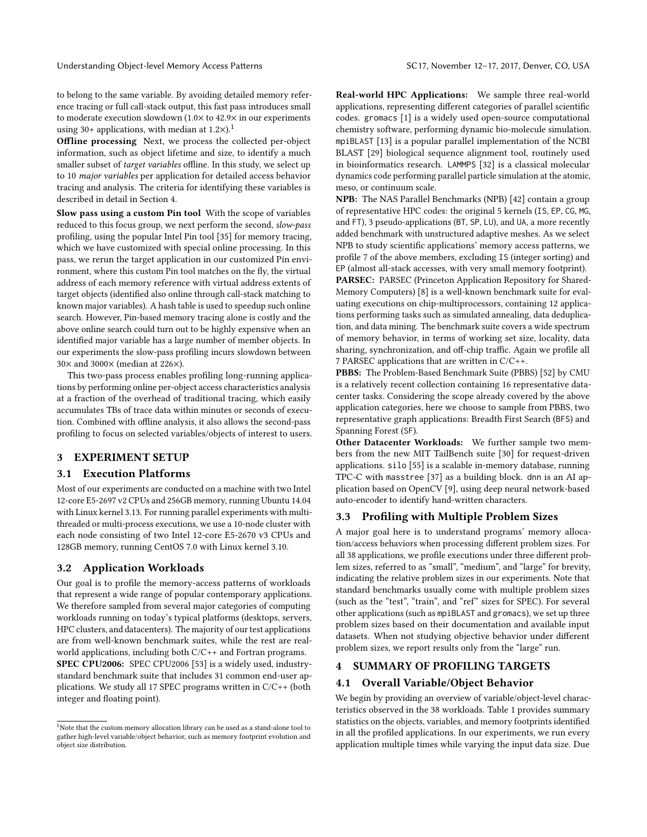to belong to the same variable. By avoiding detailed memory reference tracing or full call-stack output, this fast pass introduces small to moderate execution slowdown (1.0× to 42.9× in our experiments using 30+ applications, with median at  $1.2\times$  $1.2\times$ ).<sup>1</sup>

**Offline processing** Next, we process the collected per-object information, such as object lifetime and size, to identify a much smaller subset of *target variables* offline. In this study, we select up to 10 major variables per application for detailed access behavior tracing and analysis. The criteria for identifying these variables is described in detail in Section [4.](#page-3-1)

Slow pass using a custom Pin tool With the scope of variables reduced to this focus group, we next perform the second, slow-pass profiling, using the popular Intel Pin tool [\[35\]](#page-12-15) for memory tracing, which we have customized with special online processing. In this pass, we rerun the target application in our customized Pin environment, where this custom Pin tool matches on the fly, the virtual address of each memory reference with virtual address extents of target objects (identified also online through call-stack matching to known major variables). A hash table is used to speedup such online search. However, Pin-based memory tracing alone is costly and the above online search could turn out to be highly expensive when an identified major variable has a large number of member objects. In our experiments the slow-pass profiling incurs slowdown between  $30\times$  and  $3000\times$  (median at 226 $\times$ ).

This two-pass process enables profiling long-running applications by performing online per-object access characteristics analysis at a fraction of the overhead of traditional tracing, which easily accumulates TBs of trace data within minutes or seconds of execution. Combined with offline analysis, it also allows the second-pass profiling to focus on selected variables/objects of interest to users.

#### 3 EXPERIMENT SETUP

#### 3.1 Execution Platforms

Most of our experiments are conducted on a machine with two Intel 12-core E5-2697 v2 CPUs and 256GB memory, running Ubuntu 14.04 with Linux kernel 3.13. For running parallel experiments with multithreaded or multi-process executions, we use a 10-node cluster with each node consisting of two Intel 12-core E5-2670 v3 CPUs and 128GB memory, running CentOS 7.0 with Linux kernel 3.10.

### 3.2 Application Workloads

Our goal is to profile the memory-access patterns of workloads that represent a wide range of popular contemporary applications. We therefore sampled from several major categories of computing workloads running on today's typical platforms (desktops, servers, HPC clusters, and datacenters). The majority of our test applications are from well-known benchmark suites, while the rest are realworld applications, including both C/C++ and Fortran programs. SPEC CPU2006: SPEC CPU2006 [\[53\]](#page-12-16) is a widely used, industrystandard benchmark suite that includes 31 common end-user applications. We study all 17 SPEC programs written in C/C++ (both integer and floating point).

Real-world HPC Applications: We sample three real-world applications, representing different categories of parallel scientific codes. gromacs [\[1\]](#page-11-1) is a widely used open-source computational chemistry software, performing dynamic bio-molecule simulation. mpiBLAST [\[13\]](#page-11-2) is a popular parallel implementation of the NCBI BLAST [\[29\]](#page-12-17) biological sequence alignment tool, routinely used in bioinformatics research. LAMMPS [\[32\]](#page-12-18) is a classical molecular dynamics code performing parallel particle simulation at the atomic, meso, or continuum scale.

NPB: The NAS Parallel Benchmarks (NPB) [\[42\]](#page-12-19) contain a group of representative HPC codes: the original 5 kernels (IS, EP, CG, MG, and FT), 3 pseudo-applications (BT, SP, LU), and UA, a more recently added benchmark with unstructured adaptive meshes. As we select NPB to study scientific applications' memory access patterns, we profile 7 of the above members, excluding IS (integer sorting) and EP (almost all-stack accesses, with very small memory footprint).

PARSEC: PARSEC (Princeton Application Repository for Shared-Memory Computers) [\[8\]](#page-11-3) is a well-known benchmark suite for evaluating executions on chip-multiprocessors, containing 12 applications performing tasks such as simulated annealing, data deduplication, and data mining. The benchmark suite covers a wide spectrum of memory behavior, in terms of working set size, locality, data sharing, synchronization, and off-chip traffic. Again we profile all 7 PARSEC applications that are written in C/C++.

PBBS: The Problem-Based Benchmark Suite (PBBS) [\[52\]](#page-12-20) by CMU is a relatively recent collection containing 16 representative datacenter tasks. Considering the scope already covered by the above application categories, here we choose to sample from PBBS, two representative graph applications: Breadth First Search (BFS) and Spanning Forest (SF).

Other Datacenter Workloads: We further sample two members from the new MIT TailBench suite [\[30\]](#page-12-21) for request-driven applications. silo [\[55\]](#page-12-22) is a scalable in-memory database, running TPC-C with masstree [\[37\]](#page-12-23) as a building block. dnn is an AI application based on OpenCV [\[9\]](#page-11-4), using deep neural network-based auto-encoder to identify hand-written characters.

### 3.3 Profiling with Multiple Problem Sizes

A major goal here is to understand programs' memory allocation/access behaviors when processing different problem sizes. For all 38 applications, we profile executions under three different problem sizes, referred to as "small", "medium", and "large" for brevity, indicating the relative problem sizes in our experiments. Note that standard benchmarks usually come with multiple problem sizes (such as the "test", "train", and "ref" sizes for SPEC). For several other applications (such as mpiBLAST and gromacs), we set up three problem sizes based on their documentation and available input datasets. When not studying objective behavior under different problem sizes, we report results only from the "large" run.

## <span id="page-3-1"></span>4 SUMMARY OF PROFILING TARGETS

#### 4.1 Overall Variable/Object Behavior

We begin by providing an overview of variable/object-level characteristics observed in the 38 workloads. Table [1](#page-5-0) provides summary statistics on the objects, variables, and memory footprints identified in all the profiled applications. In our experiments, we run every application multiple times while varying the input data size. Due

<span id="page-3-0"></span><sup>1</sup>Note that the custom memory allocation library can be used as a stand-alone tool to gather high-level variable/object behavior, such as memory footprint evolution and object size distribution.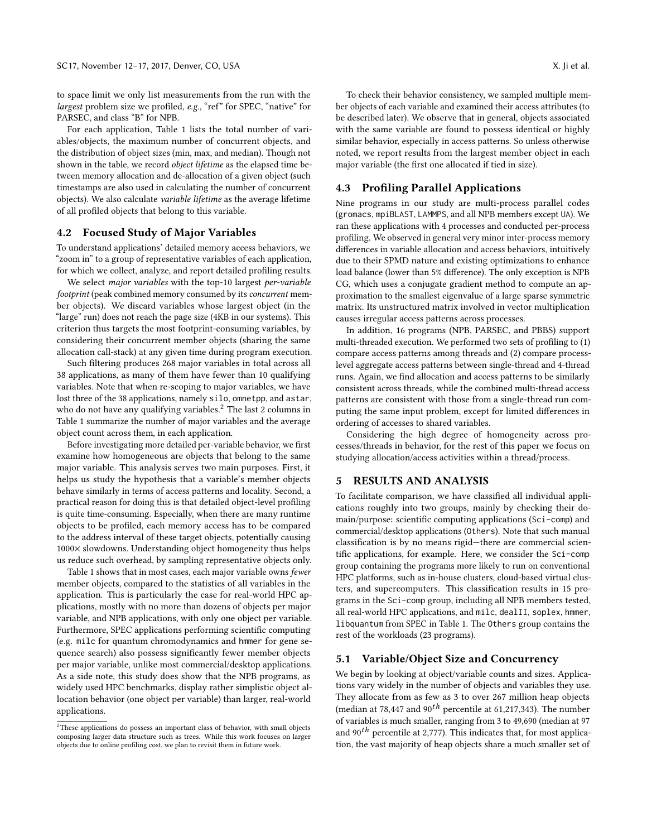to space limit we only list measurements from the run with the largest problem size we profiled, e.g., "ref" for SPEC, "native" for PARSEC, and class "B" for NPB.

For each application, Table [1](#page-5-0) lists the total number of variables/objects, the maximum number of concurrent objects, and the distribution of object sizes (min, max, and median). Though not shown in the table, we record object lifetime as the elapsed time between memory allocation and de-allocation of a given object (such timestamps are also used in calculating the number of concurrent objects). We also calculate variable lifetime as the average lifetime of all profiled objects that belong to this variable.

# 4.2 Focused Study of Major Variables

To understand applications' detailed memory access behaviors, we "zoom in" to a group of representative variables of each application, for which we collect, analyze, and report detailed profiling results.

We select major variables with the top-10 largest per-variable footprint (peak combined memory consumed by its concurrent member objects). We discard variables whose largest object (in the "large" run) does not reach the page size (4KB in our systems). This criterion thus targets the most footprint-consuming variables, by considering their concurrent member objects (sharing the same allocation call-stack) at any given time during program execution.

Such filtering produces 268 major variables in total across all 38 applications, as many of them have fewer than 10 qualifying variables. Note that when re-scoping to major variables, we have lost three of the 38 applications, namely silo, omnetpp, and astar, who do not have any qualifying variables. $<sup>2</sup>$  $<sup>2</sup>$  $<sup>2</sup>$  The last 2 columns in</sup> Table [1](#page-5-0) summarize the number of major variables and the average object count across them, in each application.

Before investigating more detailed per-variable behavior, we first examine how homogeneous are objects that belong to the same major variable. This analysis serves two main purposes. First, it helps us study the hypothesis that a variable's member objects behave similarly in terms of access patterns and locality. Second, a practical reason for doing this is that detailed object-level profiling is quite time-consuming. Especially, when there are many runtime objects to be profiled, each memory access has to be compared to the address interval of these target objects, potentially causing 1000× slowdowns. Understanding object homogeneity thus helps us reduce such overhead, by sampling representative objects only.

Table [1](#page-5-0) shows that in most cases, each major variable owns fewer member objects, compared to the statistics of all variables in the application. This is particularly the case for real-world HPC applications, mostly with no more than dozens of objects per major variable, and NPB applications, with only one object per variable. Furthermore, SPEC applications performing scientific computing (e.g. milc for quantum chromodynamics and hmmer for gene sequence search) also possess significantly fewer member objects per major variable, unlike most commercial/desktop applications. As a side note, this study does show that the NPB programs, as widely used HPC benchmarks, display rather simplistic object allocation behavior (one object per variable) than larger, real-world applications.

To check their behavior consistency, we sampled multiple member objects of each variable and examined their access attributes (to be described later). We observe that in general, objects associated with the same variable are found to possess identical or highly similar behavior, especially in access patterns. So unless otherwise noted, we report results from the largest member object in each major variable (the first one allocated if tied in size).

## 4.3 Profiling Parallel Applications

Nine programs in our study are multi-process parallel codes (gromacs, mpiBLAST, LAMMPS, and all NPB members except UA). We ran these applications with 4 processes and conducted per-process profiling. We observed in general very minor inter-process memory differences in variable allocation and access behaviors, intuitively due to their SPMD nature and existing optimizations to enhance load balance (lower than 5% difference). The only exception is NPB CG, which uses a conjugate gradient method to compute an approximation to the smallest eigenvalue of a large sparse symmetric matrix. Its unstructured matrix involved in vector multiplication causes irregular access patterns across processes.

In addition, 16 programs (NPB, PARSEC, and PBBS) support multi-threaded execution. We performed two sets of profiling to (1) compare access patterns among threads and (2) compare processlevel aggregate access patterns between single-thread and 4-thread runs. Again, we find allocation and access patterns to be similarly consistent across threads, while the combined multi-thread access patterns are consistent with those from a single-thread run computing the same input problem, except for limited differences in ordering of accesses to shared variables.

Considering the high degree of homogeneity across processes/threads in behavior, for the rest of this paper we focus on studying allocation/access activities within a thread/process.

# 5 RESULTS AND ANALYSIS

To facilitate comparison, we have classified all individual applications roughly into two groups, mainly by checking their domain/purpose: scientific computing applications (Sci-comp) and commercial/desktop applications (Others). Note that such manual classification is by no means rigid—there are commercial scientific applications, for example. Here, we consider the Sci-comp group containing the programs more likely to run on conventional HPC platforms, such as in-house clusters, cloud-based virtual clusters, and supercomputers. This classification results in 15 programs in the Sci-comp group, including all NPB members tested, all real-world HPC applications, and milc, dealII, soplex, hmmer, libquantum from SPEC in Table [1.](#page-5-0) The Others group contains the rest of the workloads (23 programs).

### 5.1 Variable/Object Size and Concurrency

We begin by looking at object/variable counts and sizes. Applications vary widely in the number of objects and variables they use. They allocate from as few as 3 to over 267 million heap objects (median at 78,447 and  $90^{th}$  percentile at 61,217,343). The number of variables is much smaller, ranging from 3 to 49,690 (median at 97 and 90<sup>th</sup> percentile at 2,777). This indicates that, for most application, the vast majority of heap objects share a much smaller set of

<span id="page-4-0"></span><sup>&</sup>lt;sup>2</sup>These applications do possess an important class of behavior, with small objects composing larger data structure such as trees. While this work focuses on larger objects due to online profiling cost, we plan to revisit them in future work.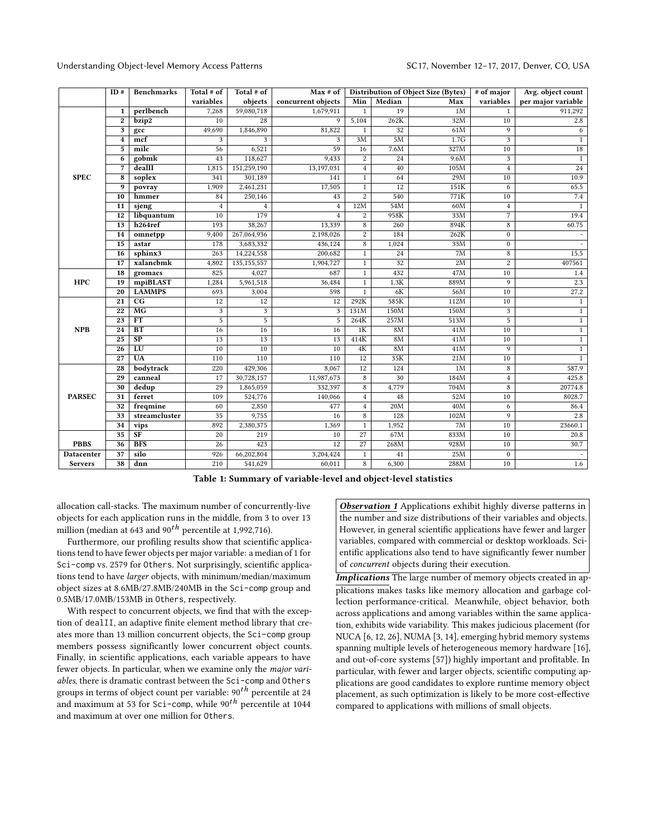<span id="page-5-0"></span>

|                   | ID#                     | <b>Benchmarks</b>      | Total # of              | Total # of     | Max# of            | Distribution of Object Size (Bytes) |                 | # of major | Avg. object count |                    |
|-------------------|-------------------------|------------------------|-------------------------|----------------|--------------------|-------------------------------------|-----------------|------------|-------------------|--------------------|
|                   |                         |                        | variables               | objects        | concurrent objects | Min                                 | Median          | Max        | variables         | per major variable |
|                   | $\mathbf{1}$            | perlbench              | 7,268                   | 59,080,718     | 1,679,911          | $\mathbf{1}$                        | 19              | 1M         | $\mathbf{1}$      | 911,292            |
| <b>SPEC</b>       | $\mathbf{2}$            | bzip2                  | 10                      | 28             | 9                  | 5,104                               | 262K            | 32M        | 10                | 2.8                |
|                   | 3                       | gcc                    | 49,690                  | 1,846,890      | 81,822             | $\mathbf{1}$                        | 32              | 61M        | 9                 | 6                  |
|                   | $\overline{\mathbf{4}}$ | mcf                    | 3                       | 3              | 3                  | 3M                                  | 5M              | 1.7G       | 3                 | $\mathbf{1}$       |
|                   | 5                       | milc                   | 56                      | 6,521          | 59                 | 16                                  | 7.6M            | 327M       | 10                | 18                 |
|                   | 6                       | gobmk                  | 43                      | 118,627        | 9,433              | $\boldsymbol{2}$                    | 24              | 9.6M       | 3                 | $\mathbf{1}$       |
|                   | $\overline{7}$          | deallI                 | 1,815                   | 151,259,190    | 13,197,031         | $\overline{4}$                      | 40              | 105M       | $\overline{4}$    | 24                 |
|                   | 8                       | soplex                 | 341                     | 301,189        | 141                | $\mathbf{1}$                        | 64              | 29M        | 10                | 10.9               |
|                   | 9                       | povray                 | 1,909                   | 2,461,231      | 17,505             | $\mathbf{1}$                        | 12              | 151K       | 6                 | 65.5               |
|                   | 10                      | hmmer                  | 84                      | 250,146        | 43                 | $\overline{2}$                      | 540             | 771K       | 10                | 7.4                |
|                   | 11                      | sjeng                  | $\overline{\mathbf{4}}$ | $\overline{4}$ | $\overline{4}$     | 12M                                 | 54M             | 60M        | $\overline{4}$    | 1                  |
|                   | 12                      | libquantum             | 10                      | 179            | $\overline{4}$     | $\boldsymbol{2}$                    | 958K            | 33M        | $\overline{7}$    | 19.4               |
|                   | 13                      | h264ref                | 193                     | 38,267         | 13,339             | 8                                   | 260             | 894K       | 8                 | 60.75              |
|                   | 14                      | omnetpp                | 9,400                   | 267,064,936    | 2,198,026          | $\overline{2}$                      | 184             | 262K       | $\mathbf{0}$      |                    |
|                   | 15                      | astar                  | 178                     | 3,683,332      | 436,124            | 8                                   | 1,024           | 33M        | $\mathbf{0}$      | ÷.                 |
|                   | 16                      | sphinx3                | 263                     | 14,224,558     | 200,682            | $\mathbf{1}$                        | 24              | 7M         | 8                 | 15.5               |
|                   | 17                      | xalancbmk              | 4,802                   | 135, 155, 557  | 1,904,727          | $\mathbf{1}$                        | $\overline{32}$ | 2M         | $\,2$             | 407561             |
|                   | 18                      | gromacs                | 825                     | 4,027          | 687                | $\mathbf{1}$                        | 432             | 47M        | $10\,$            | 1.4                |
| <b>HPC</b>        | 19                      | mpiBLAST               | 1,284                   | 5,961,518      | 36,484             | $\mathbf{1}$                        | 1.3K            | 889M       | 9                 | 2.3                |
|                   | 20                      | <b>LAMMPS</b>          | 693                     | 3,004          | 598                | $\mathbf{1}$                        | 6K              | 56M        | 10                | 27.2               |
|                   | 21                      | CG                     | 12                      | 12             | 12                 | 292K                                | 585K            | 112M       | 10                | $\mathbf{1}$       |
|                   | 22                      | <b>MG</b>              | 3                       | 3              | 3                  | 131M                                | 150M            | 150M       | 3                 | $\mathbf{1}$       |
|                   | 23                      | FT                     | 5                       | 5              | 5                  | 264K                                | 257M            | 513M       | 5                 | $\mathbf{1}$       |
| NPB               | 24                      | BT                     | 16                      | 16             | 16                 | 1K                                  | <b>8M</b>       | 41M        | 10                | $\mathbf{1}$       |
|                   | 25                      | $\overline{\text{SP}}$ | 13                      | 13             | 13                 | 414K                                | <b>8M</b>       | 41M        | 10                | $\mathbf{1}$       |
|                   | $\overline{26}$         | LU                     | 10                      | 10             | 10                 | 4K                                  | 8M              | 41M        | 9                 | $\mathbf{1}$       |
|                   | $\overline{27}$         | <b>UA</b>              | 110                     | 110            | 110                | $\overline{12}$                     | 35K             | 21M        | 10                | $\mathbf{1}$       |
|                   | 28                      | bodytrack              | 220                     | 429,306        | 8,067              | 12                                  | 124             | 1M         | 8                 | 587.9              |
| <b>PARSEC</b>     | 29                      | canneal                | 17                      | 30,728,157     | 11,987,673         | 8                                   | 30              | 184M       | $\overline{4}$    | 425.8              |
|                   | 30                      | dedup                  | 29                      | 1,865,059      | 332,397            | 8                                   | 4,779           | 704M       | 8                 | 20774.8            |
|                   | 31                      | ferret                 | 109                     | 524,776        | 140,066            | 4                                   | 48              | 52M        | 10                | 8028.7             |
|                   | 32                      | freqmine               | 60                      | 2,850          | 477                | $\overline{4}$                      | 20M             | 40M        | 6                 | 86.4               |
|                   | 33                      | streamcluster          | 35                      | 9,755          | 16                 | 8                                   | 128             | 102M       | 9                 | 2.8                |
|                   | 34                      | vips                   | 892                     | 2,380,375      | 1,369              | $\mathbf{1}$                        | 1,952           | 7M         | 10                | 23660.1            |
|                   | 35                      | SF                     | 20                      | 219            | 10                 | 27                                  | 67M             | 833M       | $10\,$            | 20.8               |
| <b>PBBS</b>       | 36                      | <b>BFS</b>             | 26                      | 423            | 12                 | $\overline{27}$                     | 268M            | 928M       | 10                | 30.7               |
| <b>Datacenter</b> | 37                      | silo                   | 926                     | 66,202,804     | 3,204,424          | $\mathbf{1}$                        | 41              | 25M        | $\mathbf{0}$      |                    |
| <b>Servers</b>    | 38                      | dnn                    | 210                     | 541,629        | 60,011             | 8                                   | 6,300           | 288M       | 10                | 1.6                |

Table 1: Summary of variable-level and object-level statistics

allocation call-stacks. The maximum number of concurrently-live objects for each application runs in the middle, from 3 to over 13 million (median at 643 and  $90<sup>th</sup>$  percentile at 1,992,716).

Furthermore, our profiling results show that scientific applications tend to have fewer objects per major variable: a median of 1 for Sci-comp vs. 2579 for Others. Not surprisingly, scientific applications tend to have larger objects, with minimum/median/maximum object sizes at 8.6MB/27.8MB/240MB in the Sci-comp group and 0.5MB/17.0MB/153MB in Others, respectively.

With respect to concurrent objects, we find that with the exception of dealII, an adaptive finite element method library that creates more than 13 million concurrent objects, the Sci-comp group members possess significantly lower concurrent object counts. Finally, in scientific applications, each variable appears to have fewer objects. In particular, when we examine only the major variables, there is dramatic contrast between the Sci-comp and Others groups in terms of object count per variable:  $90<sup>th</sup>$  percentile at 24 and maximum at 53 for Sci-comp, while  $90<sup>th</sup>$  percentile at 1044 and maximum at over one million for Others.

**Observation 1** Applications exhibit highly diverse patterns in the number and size distributions of their variables and objects. However, in general scientific applications have fewer and larger variables, compared with commercial or desktop workloads. Scientific applications also tend to have significantly fewer number of concurrent objects during their execution.

Implications The large number of memory objects created in applications makes tasks like memory allocation and garbage collection performance-critical. Meanwhile, object behavior, both across applications and among variables within the same application, exhibits wide variability. This makes judicious placement (for NUCA [\[6,](#page-11-5) [12,](#page-11-6) [26\]](#page-12-24), NUMA [\[3,](#page-11-7) [14\]](#page-11-8), emerging hybrid memory systems spanning multiple levels of heterogeneous memory hardware [\[16\]](#page-12-6), and out-of-core systems [\[57\]](#page-12-25)) highly important and profitable. In particular, with fewer and larger objects, scientific computing applications are good candidates to explore runtime memory object placement, as such optimization is likely to be more cost-effective compared to applications with millions of small objects.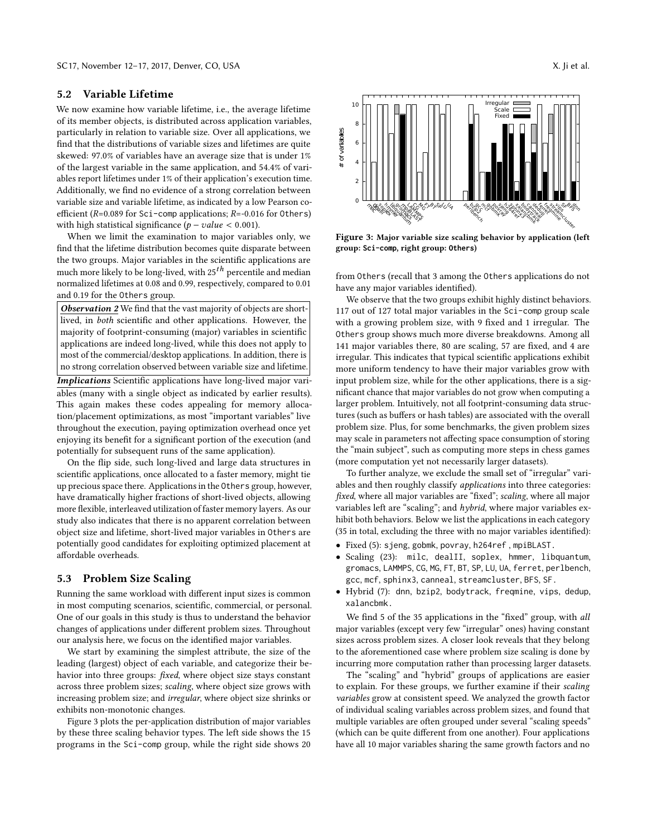#### 5.2 Variable Lifetime

We now examine how variable lifetime, i.e., the average lifetime of its member objects, is distributed across application variables, particularly in relation to variable size. Over all applications, we find that the distributions of variable sizes and lifetimes are quite skewed: 97.0% of variables have an average size that is under 1% of the largest variable in the same application, and 54.4% of variables report lifetimes under 1% of their application's execution time. Additionally, we find no evidence of a strong correlation between variable size and variable lifetime, as indicated by a low Pearson coefficient ( $R=0.089$  for Sci-comp applications;  $R=-0.016$  for Others) with high statistical significance  $(p - value < 0.001)$ .

When we limit the examination to major variables only, we find that the lifetime distribution becomes quite disparate between the two groups. Major variables in the scientific applications are much more likely to be long-lived, with  $25<sup>th</sup>$  percentile and median normalized lifetimes at 0.08 and 0.99, respectively, compared to 0.01 and 0.19 for the Others group.

Observation 2 We find that the vast majority of objects are shortlived, in both scientific and other applications. However, the majority of footprint-consuming (major) variables in scientific applications are indeed long-lived, while this does not apply to most of the commercial/desktop applications. In addition, there is no strong correlation observed between variable size and lifetime. Implications Scientific applications have long-lived major variables (many with a single object as indicated by earlier results).

This again makes these codes appealing for memory allocation/placement optimizations, as most "important variables" live throughout the execution, paying optimization overhead once yet enjoying its benefit for a significant portion of the execution (and potentially for subsequent runs of the same application).

On the flip side, such long-lived and large data structures in scientific applications, once allocated to a faster memory, might tie up precious space there. Applications in the Others group, however, have dramatically higher fractions of short-lived objects, allowing more flexible, interleaved utilization of faster memory layers. As our study also indicates that there is no apparent correlation between object size and lifetime, short-lived major variables in Others are potentially good candidates for exploiting optimized placement at affordable overheads.

#### 5.3 Problem Size Scaling

Running the same workload with different input sizes is common in most computing scenarios, scientific, commercial, or personal. One of our goals in this study is thus to understand the behavior changes of applications under different problem sizes. Throughout our analysis here, we focus on the identified major variables.

We start by examining the simplest attribute, the size of the leading (largest) object of each variable, and categorize their behavior into three groups: fixed, where object size stays constant across three problem sizes; scaling, where object size grows with increasing problem size; and irregular, where object size shrinks or exhibits non-monotonic changes.

Figure [3](#page-6-0) plots the per-application distribution of major variables by these three scaling behavior types. The left side shows the 15 programs in the Sci-comp group, while the right side shows 20

<span id="page-6-0"></span>

Figure 3: Major variable size scaling behavior by application (left group: Sci-comp, right group: Others)

from Others (recall that 3 among the Others applications do not have any major variables identified).

We observe that the two groups exhibit highly distinct behaviors. 117 out of 127 total major variables in the Sci-comp group scale with a growing problem size, with 9 fixed and 1 irregular. The Others group shows much more diverse breakdowns. Among all 141 major variables there, 80 are scaling, 57 are fixed, and 4 are irregular. This indicates that typical scientific applications exhibit more uniform tendency to have their major variables grow with input problem size, while for the other applications, there is a significant chance that major variables do not grow when computing a larger problem. Intuitively, not all footprint-consuming data structures (such as buffers or hash tables) are associated with the overall problem size. Plus, for some benchmarks, the given problem sizes may scale in parameters not affecting space consumption of storing the "main subject", such as computing more steps in chess games (more computation yet not necessarily larger datasets).

To further analyze, we exclude the small set of "irregular" variables and then roughly classify *applications* into three categories: fixed, where all major variables are "fixed"; scaling, where all major variables left are "scaling"; and hybrid, where major variables exhibit both behaviors. Below we list the applications in each category (35 in total, excluding the three with no major variables identified):

- Fixed (5): sjeng, gobmk, povray, h264ref , mpiBLAST.
- Scaling (23): milc, dealII, soplex, hmmer, libquantum, gromacs, LAMMPS, CG, MG, FT, BT, SP, LU, UA, ferret, perlbench, gcc, mcf, sphinx3, canneal, streamcluster, BFS, SF.
- Hybrid (7): dnn, bzip2, bodytrack, freqmine, vips, dedup, xalancbmk.

We find 5 of the 35 applications in the "fixed" group, with all major variables (except very few "irregular" ones) having constant sizes across problem sizes. A closer look reveals that they belong to the aforementioned case where problem size scaling is done by incurring more computation rather than processing larger datasets.

The "scaling" and "hybrid" groups of applications are easier to explain. For these groups, we further examine if their scaling variables grow at consistent speed. We analyzed the growth factor of individual scaling variables across problem sizes, and found that multiple variables are often grouped under several "scaling speeds" (which can be quite different from one another). Four applications have all 10 major variables sharing the same growth factors and no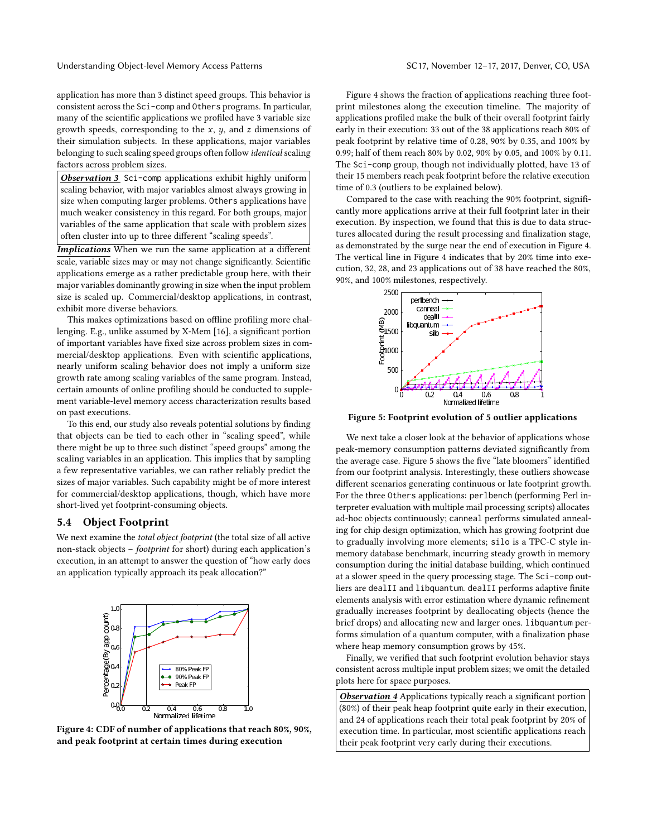application has more than 3 distinct speed groups. This behavior is consistent across the Sci-comp and Others programs. In particular, many of the scientific applications we profiled have 3 variable size growth speeds, corresponding to the  $x$ ,  $y$ , and  $z$  dimensions of their simulation subjects. In these applications, major variables belonging to such scaling speed groups often follow identical scaling factors across problem sizes.

Observation 3 Sci-comp applications exhibit highly uniform scaling behavior, with major variables almost always growing in size when computing larger problems. Others applications have much weaker consistency in this regard. For both groups, major variables of the same application that scale with problem sizes often cluster into up to three different "scaling speeds".

Implications When we run the same application at a different scale, variable sizes may or may not change significantly. Scientific applications emerge as a rather predictable group here, with their major variables dominantly growing in size when the input problem size is scaled up. Commercial/desktop applications, in contrast, exhibit more diverse behaviors.

This makes optimizations based on offline profiling more chal-lenging. E.g., unlike assumed by X-Mem [\[16\]](#page-12-6), a significant portion of important variables have fixed size across problem sizes in commercial/desktop applications. Even with scientific applications, nearly uniform scaling behavior does not imply a uniform size growth rate among scaling variables of the same program. Instead, certain amounts of online profiling should be conducted to supplement variable-level memory access characterization results based on past executions.

To this end, our study also reveals potential solutions by finding that objects can be tied to each other in "scaling speed", while there might be up to three such distinct "speed groups" among the scaling variables in an application. This implies that by sampling a few representative variables, we can rather reliably predict the sizes of major variables. Such capability might be of more interest for commercial/desktop applications, though, which have more short-lived yet footprint-consuming objects.

# 5.4 Object Footprint

We next examine the total object footprint (the total size of all active non-stack objects – footprint for short) during each application's execution, in an attempt to answer the question of "how early does an application typically approach its peak allocation?"

<span id="page-7-0"></span>

Figure 4: CDF of number of applications that reach 80%, 90%, and peak footprint at certain times during execution

Figure [4](#page-7-0) shows the fraction of applications reaching three footprint milestones along the execution timeline. The majority of applications profiled make the bulk of their overall footprint fairly early in their execution: 33 out of the 38 applications reach 80% of peak footprint by relative time of 0.28, 90% by 0.35, and 100% by 0.99; half of them reach 80% by 0.02, 90% by 0.05, and 100% by 0.11. The Sci-comp group, though not individually plotted, have 13 of their 15 members reach peak footprint before the relative execution time of 0.3 (outliers to be explained below).

Compared to the case with reaching the 90% footprint, significantly more applications arrive at their full footprint later in their execution. By inspection, we found that this is due to data structures allocated during the result processing and finalization stage, as demonstrated by the surge near the end of execution in Figure [4.](#page-7-0) The vertical line in Figure [4](#page-7-0) indicates that by 20% time into execution, 32, 28, and 23 applications out of 38 have reached the 80%, 90%, and 100% milestones, respectively.

<span id="page-7-1"></span>

Figure 5: Footprint evolution of 5 outlier applications

We next take a closer look at the behavior of applications whose peak-memory consumption patterns deviated signicantly from the average case. Figure [5](#page-7-1) shows the five "late bloomers" identified from our footprint analysis. Interestingly, these outliers showcase different scenarios generating continuous or late footprint growth. For the three Others applications: perlbench (performing Perl interpreter evaluation with multiple mail processing scripts) allocates ad-hoc objects continuously; canneal performs simulated annealing for chip design optimization, which has growing footprint due to gradually involving more elements; silo is a TPC-C style inmemory database benchmark, incurring steady growth in memory consumption during the initial database building, which continued at a slower speed in the query processing stage. The Sci-comp outliers are dealII and libquantum. dealII performs adaptive finite elements analysis with error estimation where dynamic refinement gradually increases footprint by deallocating objects (hence the brief drops) and allocating new and larger ones. libquantum performs simulation of a quantum computer, with a finalization phase where heap memory consumption grows by 45%.

Finally, we verified that such footprint evolution behavior stays consistent across multiple input problem sizes; we omit the detailed plots here for space purposes.

Observation 4 Applications typically reach a significant portion (80%) of their peak heap footprint quite early in their execution, and 24 of applications reach their total peak footprint by 20% of execution time. In particular, most scientific applications reach their peak footprint very early during their executions.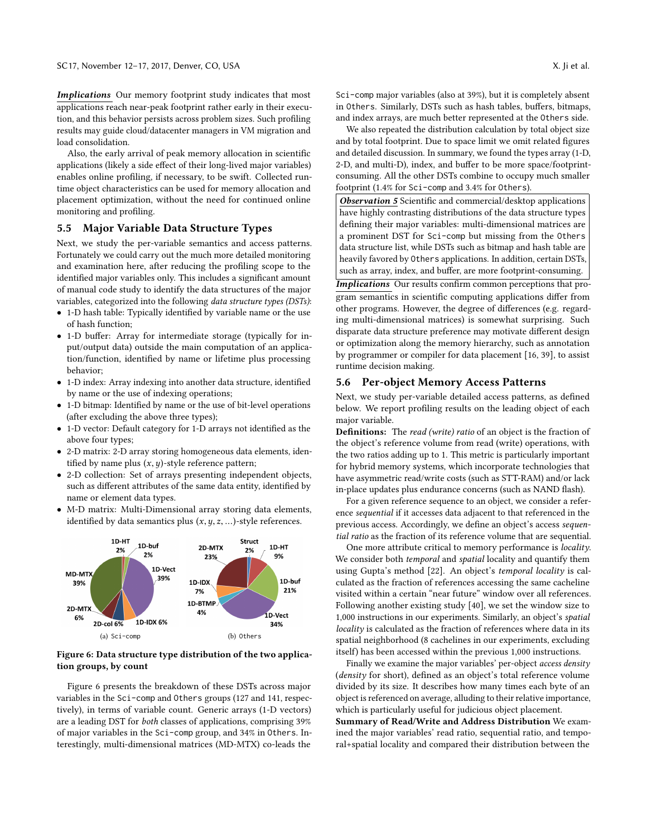Implications Our memory footprint study indicates that most applications reach near-peak footprint rather early in their execution, and this behavior persists across problem sizes. Such profiling results may guide cloud/datacenter managers in VM migration and load consolidation.

Also, the early arrival of peak memory allocation in scientific applications (likely a side effect of their long-lived major variables) enables online profiling, if necessary, to be swift. Collected runtime object characteristics can be used for memory allocation and placement optimization, without the need for continued online monitoring and profiling.

#### 5.5 Major Variable Data Structure Types

Next, we study the per-variable semantics and access patterns. Fortunately we could carry out the much more detailed monitoring and examination here, after reducing the profiling scope to the identified major variables only. This includes a significant amount of manual code study to identify the data structures of the major variables, categorized into the following data structure types (DSTs):

- 1-D hash table: Typically identified by variable name or the use of hash function;
- 1-D buffer: Array for intermediate storage (typically for input/output data) outside the main computation of an application/function, identified by name or lifetime plus processing behavior;
- 1-D index: Array indexing into another data structure, identified by name or the use of indexing operations;
- 1-D bitmap: Identified by name or the use of bit-level operations (after excluding the above three types);
- 1-D vector: Default category for 1-D arrays not identified as the above four types;
- 2-D matrix: 2-D array storing homogeneous data elements, identified by name plus  $(x, y)$ -style reference pattern;
- 2-D collection: Set of arrays presenting independent objects, such as different attributes of the same data entity, identified by name or element data types.
- M-D matrix: Multi-Dimensional array storing data elements, identified by data semantics plus  $(x, y, z, ...)$ -style references.

<span id="page-8-0"></span>

#### Figure 6: Data structure type distribution of the two application groups, by count

Figure [6](#page-8-0) presents the breakdown of these DSTs across major variables in the Sci-comp and Others groups (127 and 141, respectively), in terms of variable count. Generic arrays (1-D vectors) are a leading DST for both classes of applications, comprising 39% of major variables in the Sci-comp group, and 34% in Others. Interestingly, multi-dimensional matrices (MD-MTX) co-leads the

Sci-comp major variables (also at 39%), but it is completely absent in Others. Similarly, DSTs such as hash tables, buffers, bitmaps, and index arrays, are much better represented at the Others side.

We also repeated the distribution calculation by total object size and by total footprint. Due to space limit we omit related figures and detailed discussion. In summary, we found the types array (1-D, 2-D, and multi-D), index, and buffer to be more space/footprintconsuming. All the other DSTs combine to occupy much smaller footprint (1.4% for Sci-comp and 3.4% for Others).

Observation 5 Scientific and commercial/desktop applications have highly contrasting distributions of the data structure types defining their major variables: multi-dimensional matrices are a prominent DST for Sci-comp but missing from the Others data structure list, while DSTs such as bitmap and hash table are heavily favored by Others applications. In addition, certain DSTs, such as array, index, and buffer, are more footprint-consuming.

Implications Our results confirm common perceptions that program semantics in scientific computing applications differ from other programs. However, the degree of differences (e.g. regarding multi-dimensional matrices) is somewhat surprising. Such disparate data structure preference may motivate different design or optimization along the memory hierarchy, such as annotation by programmer or compiler for data placement [\[16,](#page-12-6) [39\]](#page-12-26), to assist runtime decision making.

#### 5.6 Per-object Memory Access Patterns

Next, we study per-variable detailed access patterns, as defined below. We report profiling results on the leading object of each major variable.

**Definitions:** The *read (write) ratio* of an object is the fraction of the object's reference volume from read (write) operations, with the two ratios adding up to 1. This metric is particularly important for hybrid memory systems, which incorporate technologies that have asymmetric read/write costs (such as STT-RAM) and/or lack in-place updates plus endurance concerns (such as NAND flash).

For a given reference sequence to an object, we consider a reference sequential if it accesses data adjacent to that referenced in the previous access. Accordingly, we define an object's access sequential ratio as the fraction of its reference volume that are sequential.

One more attribute critical to memory performance is locality. We consider both *temporal* and *spatial* locality and quantify them using Gupta's method [\[22\]](#page-12-27). An object's temporal locality is calculated as the fraction of references accessing the same cacheline visited within a certain "near future" window over all references. Following another existing study [\[40\]](#page-12-28), we set the window size to 1,000 instructions in our experiments. Similarly, an object's spatial locality is calculated as the fraction of references where data in its spatial neighborhood (8 cachelines in our experiments, excluding itself) has been accessed within the previous 1,000 instructions.

Finally we examine the major variables' per-object access density (density for short), defined as an object's total reference volume divided by its size. It describes how many times each byte of an object is referenced on average, alluding to their relative importance, which is particularly useful for judicious object placement.

Summary of Read/Write and Address Distribution We examined the major variables' read ratio, sequential ratio, and temporal+spatial locality and compared their distribution between the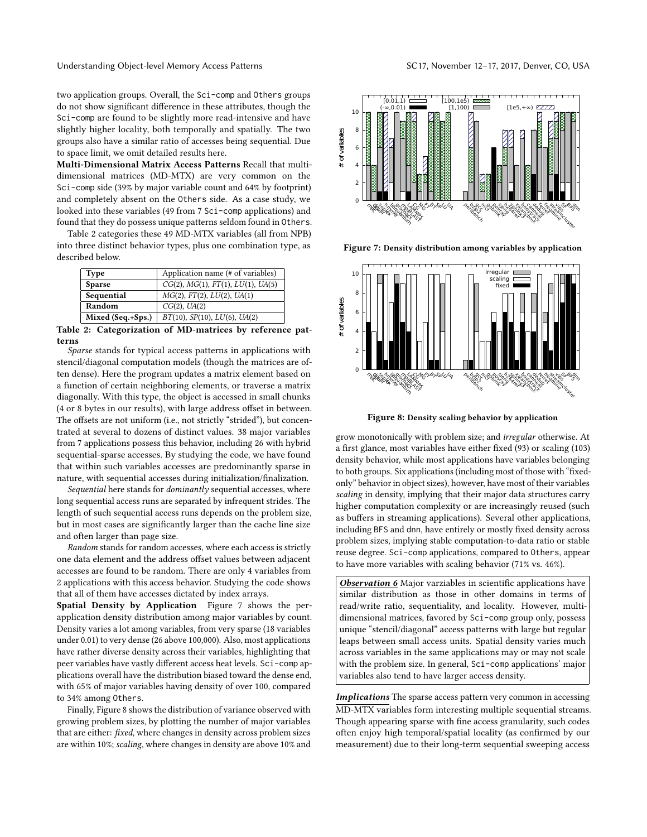two application groups. Overall, the Sci-comp and Others groups do not show significant difference in these attributes, though the Sci-comp are found to be slightly more read-intensive and have slightly higher locality, both temporally and spatially. The two groups also have a similar ratio of accesses being sequential. Due to space limit, we omit detailed results here.

Multi-Dimensional Matrix Access Patterns Recall that multidimensional matrices (MD-MTX) are very common on the Sci-comp side (39% by major variable count and 64% by footprint) and completely absent on the Others side. As a case study, we looked into these variables (49 from 7 Sci-comp applications) and found that they do possess unique patterns seldom found in Others.

Table [2](#page-9-0) categories these 49 MD-MTX variables (all from NPB) into three distinct behavior types, plus one combination type, as described below.

<span id="page-9-0"></span>

| <b>Type</b>       | Application name (# of variables)       |
|-------------------|-----------------------------------------|
| <b>Sparse</b>     | CG(2), MG(1), FT(1), LU(1), UA(5)       |
| Sequential        | MG(2), FT(2), LU(2), UA(1)              |
| Random            | CG(2), UA(2)                            |
| Mixed (Seq.+Sps.) | $BT(10)$ , $SP(10)$ , $LU(6)$ , $UA(2)$ |

Table 2: Categorization of MD-matrices by reference patterns

Sparse stands for typical access patterns in applications with stencil/diagonal computation models (though the matrices are often dense). Here the program updates a matrix element based on a function of certain neighboring elements, or traverse a matrix diagonally. With this type, the object is accessed in small chunks  $(4$  or 8 bytes in our results), with large address offset in between. The offsets are not uniform (i.e., not strictly "strided"), but concentrated at several to dozens of distinct values. 38 major variables from 7 applications possess this behavior, including 26 with hybrid sequential-sparse accesses. By studying the code, we have found that within such variables accesses are predominantly sparse in nature, with sequential accesses during initialization/finalization.

Sequential here stands for dominantly sequential accesses, where long sequential access runs are separated by infrequent strides. The length of such sequential access runs depends on the problem size, but in most cases are significantly larger than the cache line size and often larger than page size.

Random stands for random accesses, where each access is strictly one data element and the address offset values between adjacent accesses are found to be random. There are only 4 variables from 2 applications with this access behavior. Studying the code shows that all of them have accesses dictated by index arrays.

Spatial Density by Application Figure [7](#page-9-1) shows the perapplication density distribution among major variables by count. Density varies a lot among variables, from very sparse (18 variables under 0.01) to very dense (26 above 100,000). Also, most applications have rather diverse density across their variables, highlighting that peer variables have vastly different access heat levels. Sci-comp applications overall have the distribution biased toward the dense end, with 65% of major variables having density of over 100, compared to 34% among Others.

Finally, Figure [8](#page-9-2) shows the distribution of variance observed with growing problem sizes, by plotting the number of major variables that are either: fixed, where changes in density across problem sizes are within 10%; scaling, where changes in density are above 10% and

<span id="page-9-1"></span>

Figure 7: Density distribution among variables by application

<span id="page-9-2"></span>

Figure 8: Density scaling behavior by application

grow monotonically with problem size; and irregular otherwise. At a first glance, most variables have either fixed (93) or scaling (103) density behavior, while most applications have variables belonging to both groups. Six applications (including most of those with "fixedonly" behavior in object sizes), however, have most of their variables scaling in density, implying that their major data structures carry higher computation complexity or are increasingly reused (such as buffers in streaming applications). Several other applications, including BFS and dnn, have entirely or mostly fixed density across problem sizes, implying stable computation-to-data ratio or stable reuse degree. Sci-comp applications, compared to Others, appear to have more variables with scaling behavior (71% vs. 46%).

Observation 6 Major varziables in scientific applications have similar distribution as those in other domains in terms of read/write ratio, sequentiality, and locality. However, multidimensional matrices, favored by Sci-comp group only, possess unique "stencil/diagonal" access patterns with large but regular leaps between small access units. Spatial density varies much across variables in the same applications may or may not scale with the problem size. In general, Sci-comp applications' major variables also tend to have larger access density.

Implications The sparse access pattern very common in accessing MD-MTX variables form interesting multiple sequential streams. Though appearing sparse with fine access granularity, such codes often enjoy high temporal/spatial locality (as confirmed by our measurement) due to their long-term sequential sweeping access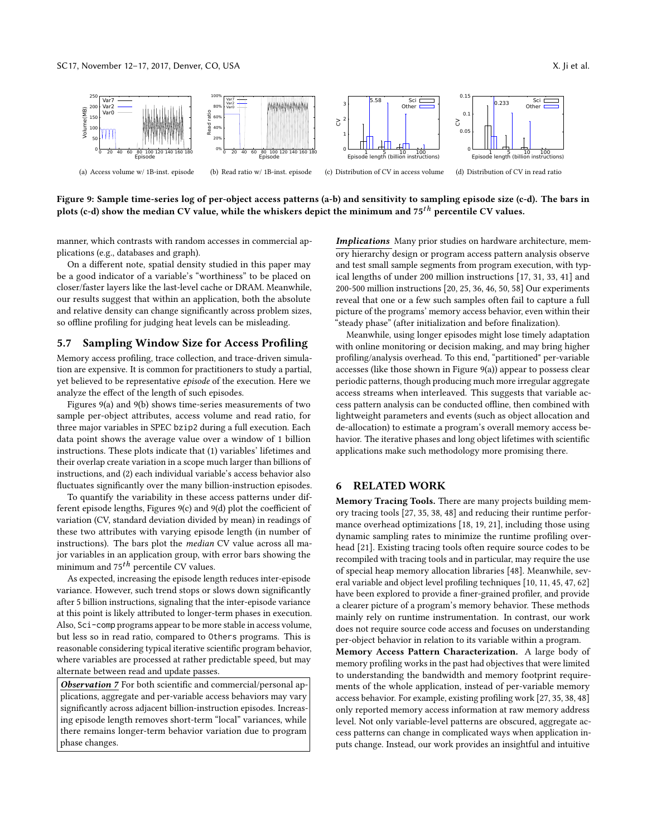<span id="page-10-0"></span>

<span id="page-10-1"></span>Figure 9: Sample time-series log of per-object access patterns (a-b) and sensitivity to sampling episode size (c-d). The bars in plots (c-d) show the median CV value, while the whiskers depict the minimum and  $75^{th}$  percentile CV values.

manner, which contrasts with random accesses in commercial applications (e.g., databases and graph).

On a different note, spatial density studied in this paper may be a good indicator of a variable's "worthiness" to be placed on closer/faster layers like the last-level cache or DRAM. Meanwhile, our results suggest that within an application, both the absolute and relative density can change significantly across problem sizes, so offline profiling for judging heat levels can be misleading.

# 5.7 Sampling Window Size for Access Profiling

Memory access profiling, trace collection, and trace-driven simulation are expensive. It is common for practitioners to study a partial, yet believed to be representative episode of the execution. Here we analyze the effect of the length of such episodes.

Figures [9\(a\)](#page-10-0) and [9\(b\)](#page-10-1) shows time-series measurements of two sample per-object attributes, access volume and read ratio, for three major variables in SPEC bzip2 during a full execution. Each data point shows the average value over a window of 1 billion instructions. These plots indicate that (1) variables' lifetimes and their overlap create variation in a scope much larger than billions of instructions, and (2) each individual variable's access behavior also fluctuates significantly over the many billion-instruction episodes.

To quantify the variability in these access patterns under different episode lengths, Figures  $9(c)$  and  $9(d)$  plot the coefficient of variation (CV, standard deviation divided by mean) in readings of these two attributes with varying episode length (in number of instructions). The bars plot the median CV value across all major variables in an application group, with error bars showing the minimum and  $75<sup>th</sup>$  percentile CV values.

As expected, increasing the episode length reduces inter-episode variance. However, such trend stops or slows down signicantly after 5 billion instructions, signaling that the inter-episode variance at this point is likely attributed to longer-term phases in execution. Also, Sci-comp programs appear to be more stable in access volume, but less so in read ratio, compared to Others programs. This is reasonable considering typical iterative scientific program behavior, where variables are processed at rather predictable speed, but may alternate between read and update passes.

Observation 7 For both scientific and commercial/personal applications, aggregate and per-variable access behaviors may vary significantly across adjacent billion-instruction episodes. Increasing episode length removes short-term "local" variances, while there remains longer-term behavior variation due to program phase changes.

<span id="page-10-3"></span><span id="page-10-2"></span>Implications Many prior studies on hardware architecture, memory hierarchy design or program access pattern analysis observe and test small sample segments from program execution, with typical lengths of under 200 million instructions [\[17,](#page-12-29) [31,](#page-12-30) [33,](#page-12-31) [41\]](#page-12-32) and 200-500 million instructions [\[20,](#page-12-33) [25,](#page-12-34) [36,](#page-12-35) [46,](#page-12-36) [50,](#page-12-37) [58\]](#page-12-38) Our experiments reveal that one or a few such samples often fail to capture a full picture of the programs' memory access behavior, even within their "steady phase" (after initialization and before finalization).

Meanwhile, using longer episodes might lose timely adaptation with online monitoring or decision making, and may bring higher profiling/analysis overhead. To this end, "partitioned" per-variable accesses (like those shown in Figure [9\(a\)\)](#page-10-0) appear to possess clear periodic patterns, though producing much more irregular aggregate access streams when interleaved. This suggests that variable access pattern analysis can be conducted offline, then combined with lightweight parameters and events (such as object allocation and de-allocation) to estimate a program's overall memory access behavior. The iterative phases and long object lifetimes with scientific applications make such methodology more promising there.

# 6 RELATED WORK

Memory Tracing Tools. There are many projects building memory tracing tools [\[27,](#page-12-14) [35,](#page-12-15) [38,](#page-12-13) [48\]](#page-12-7) and reducing their runtime performance overhead optimizations [\[18,](#page-12-10) [19,](#page-12-11) [21\]](#page-12-12), including those using dynamic sampling rates to minimize the runtime profiling overhead [\[21\]](#page-12-12). Existing tracing tools often require source codes to be recompiled with tracing tools and in particular, may require the use of special heap memory allocation libraries [\[48\]](#page-12-7). Meanwhile, sev-eral variable and object level profiling techniques [\[10,](#page-11-9) [11,](#page-11-10) [45,](#page-12-39) [47,](#page-12-40) [62\]](#page-12-9) have been explored to provide a finer-grained profiler, and provide a clearer picture of a program's memory behavior. These methods mainly rely on runtime instrumentation. In contrast, our work does not require source code access and focuses on understanding per-object behavior in relation to its variable within a program.

Memory Access Pattern Characterization. A large body of memory profiling works in the past had objectives that were limited to understanding the bandwidth and memory footprint requirements of the whole application, instead of per-variable memory access behavior. For example, existing profiling work [\[27,](#page-12-14) [35,](#page-12-15) [38,](#page-12-13) [48\]](#page-12-7) only reported memory access information at raw memory address level. Not only variable-level patterns are obscured, aggregate access patterns can change in complicated ways when application inputs change. Instead, our work provides an insightful and intuitive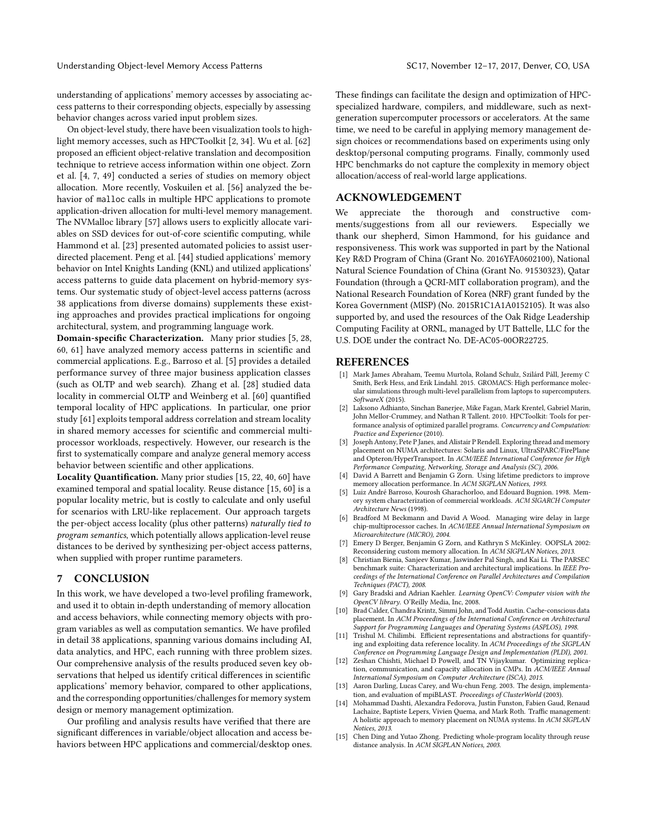understanding of applications' memory accesses by associating access patterns to their corresponding objects, especially by assessing behavior changes across varied input problem sizes.

On object-level study, there have been visualization tools to high-light memory accesses, such as HPCToolkit [\[2,](#page-11-11) [34\]](#page-12-41). Wu et al. [\[62\]](#page-12-9) proposed an efficient object-relative translation and decomposition technique to retrieve access information within one object. Zorn et al. [\[4,](#page-11-0) [7,](#page-11-12) [49\]](#page-12-42) conducted a series of studies on memory object allocation. More recently, Voskuilen et al. [\[56\]](#page-12-43) analyzed the behavior of malloc calls in multiple HPC applications to promote application-driven allocation for multi-level memory management. The NVMalloc library [\[57\]](#page-12-25) allows users to explicitly allocate variables on SSD devices for out-of-core scientific computing, while Hammond et al. [\[23\]](#page-12-44) presented automated policies to assist userdirected placement. Peng et al. [\[44\]](#page-12-45) studied applications' memory behavior on Intel Knights Landing (KNL) and utilized applications' access patterns to guide data placement on hybrid-memory systems. Our systematic study of object-level access patterns (across 38 applications from diverse domains) supplements these existing approaches and provides practical implications for ongoing architectural, system, and programming language work.

Domain-specific Characterization. Many prior studies [\[5,](#page-11-13) [28,](#page-12-46) [60,](#page-12-47) [61\]](#page-12-48) have analyzed memory access patterns in scientific and commercial applications. E.g., Barroso et al. [\[5\]](#page-11-13) provides a detailed performance survey of three major business application classes (such as OLTP and web search). Zhang et al. [\[28\]](#page-12-46) studied data locality in commercial OLTP and Weinberg et al. [\[60\]](#page-12-47) quantified temporal locality of HPC applications. In particular, one prior study [\[61\]](#page-12-48) exploits temporal address correlation and stream locality in shared memory accesses for scientific and commercial multiprocessor workloads, respectively. However, our research is the first to systematically compare and analyze general memory access behavior between scientific and other applications.

Locality Quantification. Many prior studies [\[15,](#page-11-14) [22,](#page-12-27) [40,](#page-12-28) [60\]](#page-12-47) have examined temporal and spatial locality. Reuse distance [\[15,](#page-11-14) [60\]](#page-12-47) is a popular locality metric, but is costly to calculate and only useful for scenarios with LRU-like replacement. Our approach targets the per-object access locality (plus other patterns) naturally tied to program semantics, which potentially allows application-level reuse distances to be derived by synthesizing per-object access patterns, when supplied with proper runtime parameters.

#### 7 CONCLUSION

In this work, we have developed a two-level profiling framework, and used it to obtain in-depth understanding of memory allocation and access behaviors, while connecting memory objects with program variables as well as computation semantics. We have profiled in detail 38 applications, spanning various domains including AI, data analytics, and HPC, each running with three problem sizes. Our comprehensive analysis of the results produced seven key observations that helped us identify critical differences in scientific applications' memory behavior, compared to other applications, and the corresponding opportunities/challenges for memory system design or memory management optimization.

Our profiling and analysis results have verified that there are significant differences in variable/object allocation and access behaviors between HPC applications and commercial/desktop ones. These findings can facilitate the design and optimization of HPCspecialized hardware, compilers, and middleware, such as nextgeneration supercomputer processors or accelerators. At the same time, we need to be careful in applying memory management design choices or recommendations based on experiments using only desktop/personal computing programs. Finally, commonly used HPC benchmarks do not capture the complexity in memory object allocation/access of real-world large applications.

# ACKNOWLEDGEMENT

We appreciate the thorough and constructive comments/suggestions from all our reviewers. Especially we thank our shepherd, Simon Hammond, for his guidance and responsiveness. This work was supported in part by the National Key R&D Program of China (Grant No. 2016YFA0602100), National Natural Science Foundation of China (Grant No. 91530323), Qatar Foundation (through a QCRI-MIT collaboration program), and the National Research Foundation of Korea (NRF) grant funded by the Korea Government (MISP) (No. 2015R1C1A1A0152105). It was also supported by, and used the resources of the Oak Ridge Leadership Computing Facility at ORNL, managed by UT Battelle, LLC for the U.S. DOE under the contract No. DE-AC05-00OR22725.

#### REFERENCES

- <span id="page-11-1"></span>[1] Mark James Abraham, Teemu Murtola, Roland Schulz, Szilárd Páll, Jeremy C Smith, Berk Hess, and Erik Lindahl. 2015. GROMACS: High performance molecular simulations through multi-level parallelism from laptops to supercomputers. SoftwareX (2015).
- <span id="page-11-11"></span>[2] Laksono Adhianto, Sinchan Banerjee, Mike Fagan, Mark Krentel, Gabriel Marin, John Mellor-Crummey, and Nathan R Tallent. 2010. HPCToolkit: Tools for performance analysis of optimized parallel programs. Concurrency and Computation: Practice and Experience (2010).
- <span id="page-11-7"></span>[3] Joseph Antony, Pete P Janes, and Alistair P Rendell. Exploring thread and memory placement on NUMA architectures: Solaris and Linux, UltraSPARC/FirePlane and Opteron/HyperTransport. In ACM/IEEE International Conference for High Performance Computing, Networking, Storage and Analysis (SC), 2006.
- <span id="page-11-0"></span>[4] David A Barrett and Benjamin G Zorn. Using lifetime predictors to improve memory allocation performance. In ACM SIGPLAN Notices, 1993.
- <span id="page-11-13"></span>[5] Luiz André Barroso, Kourosh Gharachorloo, and Edouard Bugnion. 1998. Memory system characterization of commercial workloads. ACM SIGARCH Computer Architecture News (1998).
- <span id="page-11-5"></span>[6] Bradford M Beckmann and David A Wood. Managing wire delay in large chip-multiprocessor caches. In ACM/IEEE Annual International Symposium on Microarchitecture (MICRO), 2004.
- <span id="page-11-12"></span>[7] Emery D Berger, Benjamin G Zorn, and Kathryn S McKinley. OOPSLA 2002: Reconsidering custom memory allocation. In ACM SIGPLAN Notices, 2013.
- <span id="page-11-3"></span>[8] Christian Bienia, Sanjeev Kumar, Jaswinder Pal Singh, and Kai Li. The PARSEC benchmark suite: Characterization and architectural implications. In IEEE Proceedings of the International Conference on Parallel Architectures and Compilation Techniques (PACT), 2008.
- <span id="page-11-4"></span>Gary Bradski and Adrian Kaehler. Learning OpenCV: Computer vision with the OpenCV library. O'Reilly Media, Inc, 2008.
- <span id="page-11-9"></span>[10] Brad Calder, Chandra Krintz, Simmi John, and Todd Austin. Cache-conscious data placement. In ACM Proceedings of the International Conference on Architectural Support for Programming Languages and Operating Systems (ASPLOS), 1998.
- <span id="page-11-10"></span>[11] Trishul M. Chilimbi. Efficient representations and abstractions for quantifying and exploiting data reference locality. In ACM Proceedings of the SIGPLAN Conference on Programming Language Design and Implementation (PLDI), 2001.
- <span id="page-11-6"></span>[12] Zeshan Chishti, Michael D Powell, and TN Vijaykumar. Optimizing replication, communication, and capacity allocation in CMPs. In ACM/IEEE Annual International Symposium on Computer Architecture (ISCA), 2015.
- <span id="page-11-2"></span>Aaron Darling, Lucas Carey, and Wu-chun Feng. 2003. The design, implementation, and evaluation of mpiBLAST. Proceedings of ClusterWorld (2003).
- <span id="page-11-8"></span>[14] Mohammad Dashti, Alexandra Fedorova, Justin Funston, Fabien Gaud, Renaud Lachaize, Baptiste Lepers, Vivien Quema, and Mark Roth. Traffic management: A holistic approach to memory placement on NUMA systems. In ACM SIGPLAN Notices, 2013.
- <span id="page-11-14"></span>[15] Chen Ding and Yutao Zhong. Predicting whole-program locality through reuse distance analysis. In ACM SIGPLAN Notices, 2003.